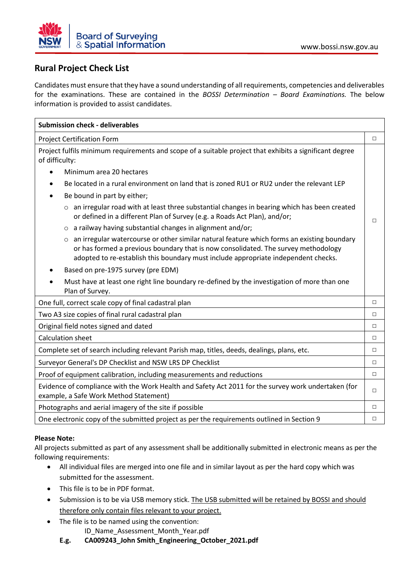

## **Rural Project Check List**

Candidates must ensure that they have a sound understanding of all requirements, competencies and deliverables for the examinations. These are contained in the *BOSSI Determination – Board Examinations.* The below information is provided to assist candidates.

| <b>Submission check - deliverables</b>                                                                                                                                                                                                                                            |        |
|-----------------------------------------------------------------------------------------------------------------------------------------------------------------------------------------------------------------------------------------------------------------------------------|--------|
| <b>Project Certification Form</b>                                                                                                                                                                                                                                                 | $\Box$ |
| Project fulfils minimum requirements and scope of a suitable project that exhibits a significant degree<br>of difficulty:                                                                                                                                                         |        |
| Minimum area 20 hectares                                                                                                                                                                                                                                                          |        |
| Be located in a rural environment on land that is zoned RU1 or RU2 under the relevant LEP                                                                                                                                                                                         |        |
| Be bound in part by either;                                                                                                                                                                                                                                                       |        |
| $\circ$ an irregular road with at least three substantial changes in bearing which has been created<br>or defined in a different Plan of Survey (e.g. a Roads Act Plan), and/or;                                                                                                  | П      |
| a railway having substantial changes in alignment and/or;<br>$\circ$                                                                                                                                                                                                              |        |
| an irregular watercourse or other similar natural feature which forms an existing boundary<br>$\circ$<br>or has formed a previous boundary that is now consolidated. The survey methodology<br>adopted to re-establish this boundary must include appropriate independent checks. |        |
| Based on pre-1975 survey (pre EDM)                                                                                                                                                                                                                                                |        |
| Must have at least one right line boundary re-defined by the investigation of more than one<br>Plan of Survey.                                                                                                                                                                    |        |
| One full, correct scale copy of final cadastral plan                                                                                                                                                                                                                              | $\Box$ |
| Two A3 size copies of final rural cadastral plan                                                                                                                                                                                                                                  | $\Box$ |
| Original field notes signed and dated                                                                                                                                                                                                                                             | $\Box$ |
| Calculation sheet                                                                                                                                                                                                                                                                 | $\Box$ |
| Complete set of search including relevant Parish map, titles, deeds, dealings, plans, etc.                                                                                                                                                                                        | $\Box$ |
| Surveyor General's DP Checklist and NSW LRS DP Checklist                                                                                                                                                                                                                          | $\Box$ |
| Proof of equipment calibration, including measurements and reductions                                                                                                                                                                                                             | $\Box$ |
| Evidence of compliance with the Work Health and Safety Act 2011 for the survey work undertaken (for<br>example, a Safe Work Method Statement)                                                                                                                                     | П      |
| Photographs and aerial imagery of the site if possible                                                                                                                                                                                                                            | $\Box$ |
| One electronic copy of the submitted project as per the requirements outlined in Section 9                                                                                                                                                                                        | $\Box$ |

## **Please Note:**

All projects submitted as part of any assessment shall be additionally submitted in electronic means as per the following requirements:

- All individual files are merged into one file and in similar layout as per the hard copy which was submitted for the assessment.
- This file is to be in PDF format.
- Submission is to be via USB memory stick. The USB submitted will be retained by BOSSI and should therefore only contain files relevant to your project.
- The file is to be named using the convention:
	- ID\_Name\_Assessment\_Month\_Year.pdf
	- **E.g. CA009243\_John Smith\_Engineering\_October\_2021.pdf**